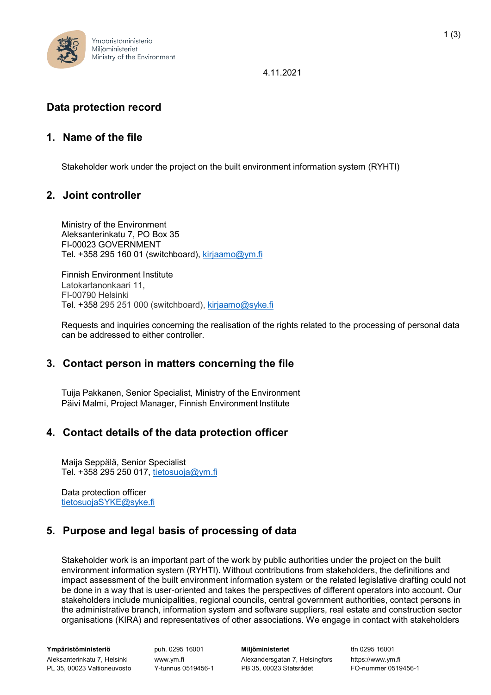

4.11.2021

### **Data protection record**

#### **1. Name of the file**

Stakeholder work under the project on the built environment information system (RYHTI)

#### **2. Joint controller**

Ministry of the Environment Aleksanterinkatu 7, PO Box 35 FI-00023 GOVERNMENT Tel.  $+358$  295 160 01 (switchboard), [kirjaamo@ym.fi](mailto:kirjaamo@ym.fi)

Finnish Environment Institute Latokartanonkaari 11, FI-00790 Helsinki Tel. +358 295 251 000 (switchboard), [kirjaamo@syke.fi](mailto:kirjaamo@syke.fi)

Requests and inquiries concerning the realisation of the rights related to the processing of personal data can be addressed to either controller.

#### **3. Contact person in matters concerning the file**

Tuija Pakkanen, Senior Specialist, Ministry of the Environment Päivi Malmi, Project Manager, Finnish Environment Institute

#### **4. Contact details of the data protection officer**

Maija Seppälä, Senior Specialist Tel. +358 295 250 017, [tietosuoja@ym.fi](mailto:tietosuoja@ym.fi)

Data protection officer [tietosuojaSYKE@syke.fi](mailto:tietosuojaSYKE@syke.fi)

# **5. Purpose and legal basis of processing of data**

Stakeholder work is an important part of the work by public authorities under the project on the built environment information system (RYHTI). Without contributions from stakeholders, the definitions and impact assessment of the built environment information system or the related legislative drafting could not be done in a way that is user-oriented and takes the perspectives of different operators into account. Our stakeholders include municipalities, regional councils, central government authorities, contact persons in the administrative branch, information system and software suppliers, real estate and construction sector organisations (KIRA) and representatives of other associations. We engage in contact with stakeholders

**Ympäristöministeriö** Aleksanterinkatu 7, Helsinki

puh. 0295 16001 [www.ym.fi](http://www.ym.fi/)

**Miljöministeriet** Alexandersgatan 7, Helsingfors PL 35, 00023 Valtioneuvosto Y-tunnus 0519456-1 PB 35, 00023 Statsrådet FO-nummer 0519456-1

tfn 0295 16001 https:[//www.ym.fi](http://www.ym.fi/)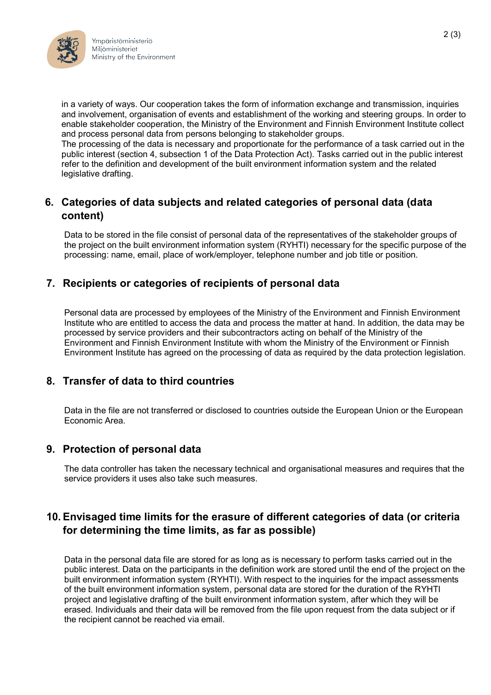

in a variety of ways. Our cooperation takes the form of information exchange and transmission, inquiries and involvement, organisation of events and establishment of the working and steering groups. In order to enable stakeholder cooperation, the Ministry of the Environment and Finnish Environment Institute collect and process personal data from persons belonging to stakeholder groups.

The processing of the data is necessary and proportionate for the performance of a task carried out in the public interest (section 4, subsection 1 of the Data Protection Act). Tasks carried out in the public interest refer to the definition and development of the built environment information system and the related legislative drafting.

### **6. Categories of data subjects and related categories of personal data (data content)**

Data to be stored in the file consist of personal data of the representatives of the stakeholder groups of the project on the built environment information system (RYHTI) necessary for the specific purpose of the processing: name, email, place of work/employer, telephone number and job title or position.

# **7. Recipients or categories of recipients of personal data**

Personal data are processed by employees of the Ministry of the Environment and Finnish Environment Institute who are entitled to access the data and process the matter at hand. In addition, the data may be processed by service providers and their subcontractors acting on behalf of the Ministry of the Environment and Finnish Environment Institute with whom the Ministry of the Environment or Finnish Environment Institute has agreed on the processing of data as required by the data protection legislation.

# **8. Transfer of data to third countries**

Data in the file are not transferred or disclosed to countries outside the European Union or the European Economic Area.

# **9. Protection of personal data**

The data controller has taken the necessary technical and organisational measures and requires that the service providers it uses also take such measures.

# **10. Envisaged time limits for the erasure of different categories of data (or criteria for determining the time limits, as far as possible)**

Data in the personal data file are stored for as long as is necessary to perform tasks carried out in the public interest. Data on the participants in the definition work are stored until the end of the project on the built environment information system (RYHTI). With respect to the inquiries for the impact assessments of the built environment information system, personal data are stored for the duration of the RYHTI project and legislative drafting of the built environment information system, after which they will be erased. Individuals and their data will be removed from the file upon request from the data subject or if the recipient cannot be reached via email.